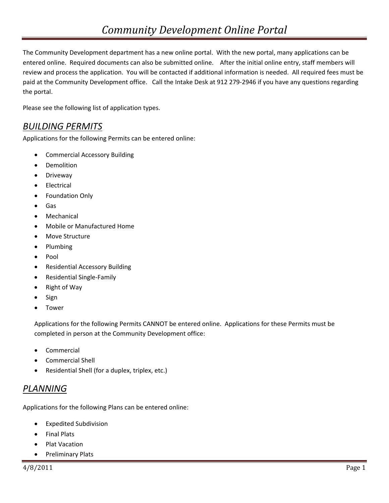The Community Development department has a new online portal. With the new portal, many applications can be entered online. Required documents can also be submitted online. After the initial online entry, staff members will review and process the application. You will be contacted if additional information is needed. All required fees must be paid at the Community Development office. Call the Intake Desk at 912 279-2946 if you have any questions regarding the portal.

Please see the following list of application types.

## *BUILDING PERMITS*

Applications for the following Permits can be entered online:

- Commercial Accessory Building
- Demolition
- **•** Driveway
- Electrical
- Foundation Only
- Gas
- Mechanical
- Mobile or Manufactured Home
- Move Structure
- Plumbing
- $\bullet$  Pool
- Residential Accessory Building
- Residential Single‐Family
- Right of Way
- Sign
- Tower

Applications for the following Permits CANNOT be entered online. Applications for these Permits must be completed in person at the Community Development office:

- Commercial
- Commercial Shell
- Residential Shell (for a duplex, triplex, etc.)

## *PLANNING*

Applications for the following Plans can be entered online:

- Expedited Subdivision
- Final Plats
- Plat Vacation
- Preliminary Plats